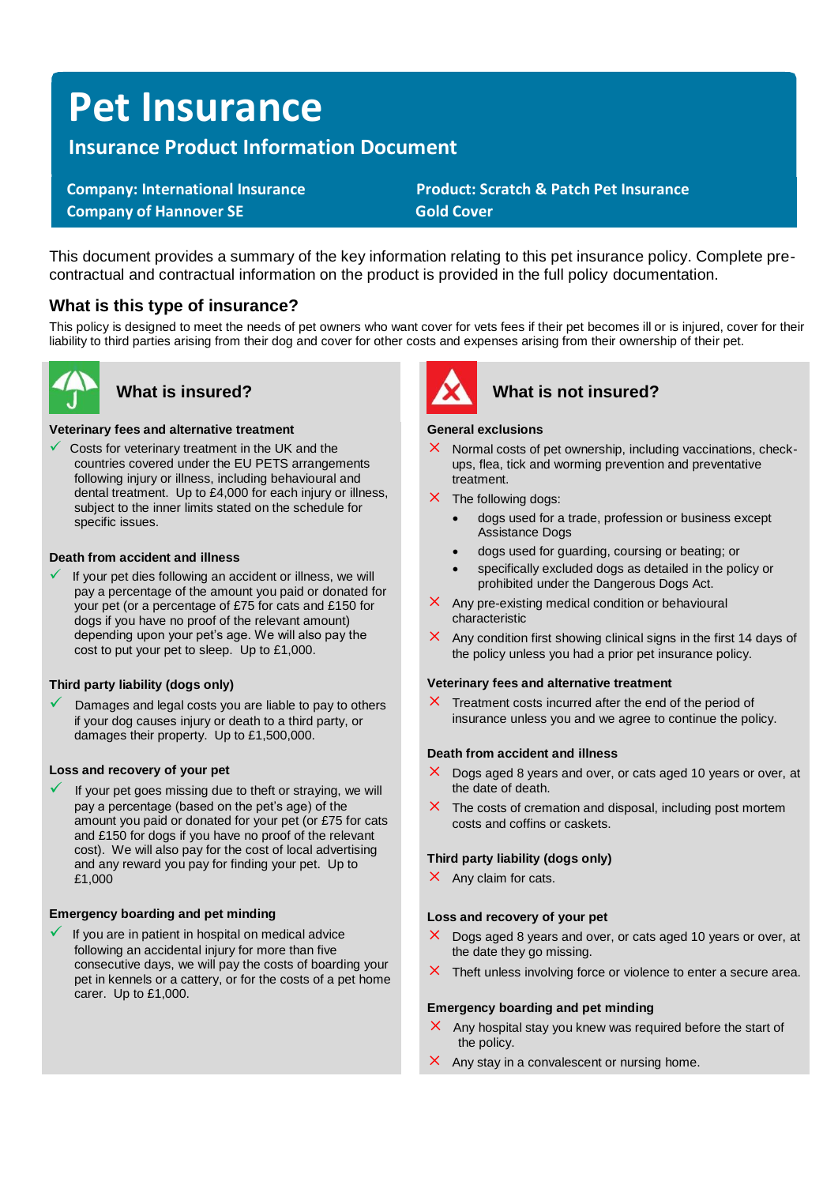# **Pet Insurance**

# **Insurance Product Information Document**

**Company of Hannover SE Gold Cover** 

 **Company: International Insurance Product: Scratch & Patch Pet Insurance** 

This document provides a summary of the key information relating to this pet insurance policy. Complete precontractual and contractual information on the product is provided in the full policy documentation.

## **What is this type of insurance?**

This policy is designed to meet the needs of pet owners who want cover for vets fees if their pet becomes ill or is injured, cover for their liability to third parties arising from their dog and cover for other costs and expenses arising from their ownership of their pet.



#### **Veterinary fees and alternative treatment**

 $\checkmark$  Costs for veterinary treatment in the UK and the countries covered under the EU PETS arrangements following injury or illness, including behavioural and dental treatment. Up to £4,000 for each injury or illness, subject to the inner limits stated on the schedule for specific issues.

#### **Death from accident and illness**

If your pet dies following an accident or illness, we will pay a percentage of the amount you paid or donated for your pet (or a percentage of £75 for cats and £150 for dogs if you have no proof of the relevant amount) depending upon your pet's age. We will also pay the cost to put your pet to sleep. Up to £1,000.

#### **Third party liability (dogs only)**

Damages and legal costs you are liable to pay to others if your dog causes injury or death to a third party, or damages their property. Up to £1,500,000.

#### **Loss and recovery of your pet**

If your pet goes missing due to theft or straying, we will pay a percentage (based on the pet's age) of the amount you paid or donated for your pet (or £75 for cats and £150 for dogs if you have no proof of the relevant cost). We will also pay for the cost of local advertising and any reward you pay for finding your pet. Up to £1,000

#### **Emergency boarding and pet minding**

If you are in patient in hospital on medical advice following an accidental injury for more than five consecutive days, we will pay the costs of boarding your pet in kennels or a cattery, or for the costs of a pet home carer. Up to £1,000.



# **What is insured? What is not insured?**

#### **General exclusions**

- $\times$  Normal costs of pet ownership, including vaccinations, checkups, flea, tick and worming prevention and preventative treatment.
- $\times$  The following dogs:
	- dogs used for a trade, profession or business except Assistance Dogs
	- dogs used for guarding, coursing or beating; or
	- specifically excluded dogs as detailed in the policy or prohibited under the Dangerous Dogs Act.
- $\times$  Any pre-existing medical condition or behavioural characteristic
- $\times$  Any condition first showing clinical signs in the first 14 days of the policy unless you had a prior pet insurance policy.

#### **Veterinary fees and alternative treatment**

 $\times$  Treatment costs incurred after the end of the period of insurance unless you and we agree to continue the policy.

#### **Death from accident and illness**

- $\times$  Dogs aged 8 years and over, or cats aged 10 years or over, at the date of death.
- $\times$  The costs of cremation and disposal, including post mortem costs and coffins or caskets.

#### **Third party liability (dogs only)**

 $\times$  Any claim for cats.

#### **Loss and recovery of your pet**

- $\times$  Dogs aged 8 years and over, or cats aged 10 years or over, at the date they go missing.
- $\times$  Theft unless involving force or violence to enter a secure area.

#### **Emergency boarding and pet minding**

- $\times$  Any hospital stay you knew was required before the start of the policy.
- $\times$  Any stay in a convalescent or nursing home.